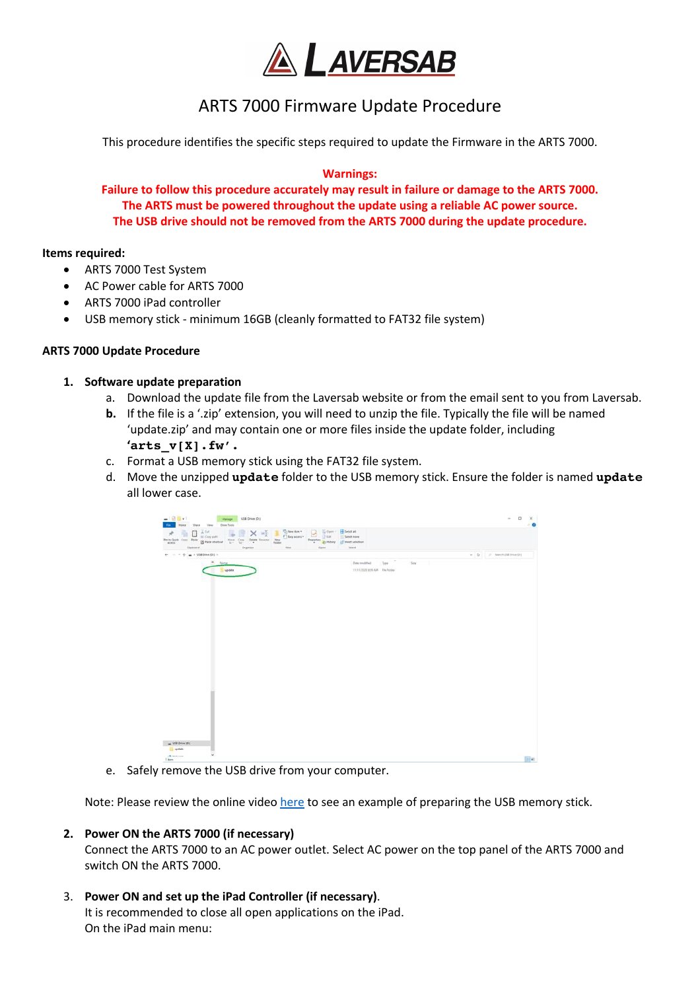

# ARTS 7000 Firmware Update Procedure

This procedure identifies the specific steps required to update the Firmware in the ARTS 7000.

#### **Warnings:**

**Failure to follow this procedure accurately may result in failure or damage to the ARTS 7000. The ARTS must be powered throughout the update using a reliable AC power source. The USB drive should not be removed from the ARTS 7000 during the update procedure.** 

#### **Items required:**

- ARTS 7000 Test System
- AC Power cable for ARTS 7000
- ARTS 7000 iPad controller
- USB memory stick minimum 16GB (cleanly formatted to FAT32 file system)

# **ARTS 7000 Update Procedure**

# **1. Software update preparation**

- a. Download the update file from the Laversab website or from the email sent to you from Laversab.
- **b.** If the file is a '.zip' extension, you will need to unzip the file. Typically the file will be named 'update.zip' and may contain one or more files inside the update folder, including **'arts\_v[X].fw'.**
- c. Format a USB memory stick using the FAT32 file system.
- d. Move the unzipped **update** folder to the USB memory stick. Ensure the folder is named **update** all lower case.

| <b>War</b><br>your then the Doctors                                                                                                                                                                                                                                                                                                                                                                                                                                                                         |                                                              |                                                 |
|-------------------------------------------------------------------------------------------------------------------------------------------------------------------------------------------------------------------------------------------------------------------------------------------------------------------------------------------------------------------------------------------------------------------------------------------------------------------------------------------------------------|--------------------------------------------------------------|-------------------------------------------------|
| $\begin{tabular}{l l l l } \hline Quartes & & & & Uiter \\ \hline \hline Ctergesom & & & Uiter \\ \hline \end{tabular}$<br>$\begin{tabular}{l c c c c c c c c} \hline $m$ & $m$ & $m$ & $M$ & $M$ \\ \hline $m$ & $m$ & $m$ & $m$ & $m$ & $M$ & $M$ \\ \hline $m$ & $m$ & $m$ & $m$ & $m$ & $m$ & $m$ & $m$ \\ \hline $m$ & $m$ & $m$ & $m$ & $m$ & $m$ & $m$ \\ \hline $m$ & $m$ & $m$ & $m$ & $m$ & $m$ & $m$ \\ \hline $m$ & $m$ & $m$ & $m$ & $m$ & $m$ & $m$ \\ \hline $m$ & $m$ & $m$$<br>Open<br>New | El Select all<br>Salest Agne<br>all trees selection<br>Istid |                                                 |
| ← = - + m + USEDnie D1 +                                                                                                                                                                                                                                                                                                                                                                                                                                                                                    |                                                              | $\leftarrow$ 0 $\leftarrow$ 9 Seen US (Here (R) |
| $=$ - Here<br><b>E</b> update                                                                                                                                                                                                                                                                                                                                                                                                                                                                               | Sav Film<br>form modeled:<br>TITUTURE E19 AND File Robber    |                                                 |
|                                                                                                                                                                                                                                                                                                                                                                                                                                                                                                             |                                                              |                                                 |
|                                                                                                                                                                                                                                                                                                                                                                                                                                                                                                             |                                                              |                                                 |
|                                                                                                                                                                                                                                                                                                                                                                                                                                                                                                             |                                                              |                                                 |
|                                                                                                                                                                                                                                                                                                                                                                                                                                                                                                             |                                                              |                                                 |
|                                                                                                                                                                                                                                                                                                                                                                                                                                                                                                             |                                                              |                                                 |
|                                                                                                                                                                                                                                                                                                                                                                                                                                                                                                             |                                                              |                                                 |
|                                                                                                                                                                                                                                                                                                                                                                                                                                                                                                             |                                                              |                                                 |
| $-$ VM 0-4 (0)<br><b>El update</b>                                                                                                                                                                                                                                                                                                                                                                                                                                                                          |                                                              |                                                 |
|                                                                                                                                                                                                                                                                                                                                                                                                                                                                                                             |                                                              |                                                 |

e. Safely remove the USB drive from your computer.

Note: Please review the online video here to see an example of preparing the USB memory stick.

#### **2. Power ON the ARTS 7000 (if necessary)**

Connect the ARTS 7000 to an AC power outlet. Select AC power on the top panel of the ARTS 7000 and switch ON the ARTS 7000.

# 3. **Power ON and set up the iPad Controller (if necessary)**.

It is recommended to close all open applications on the iPad. On the iPad main menu: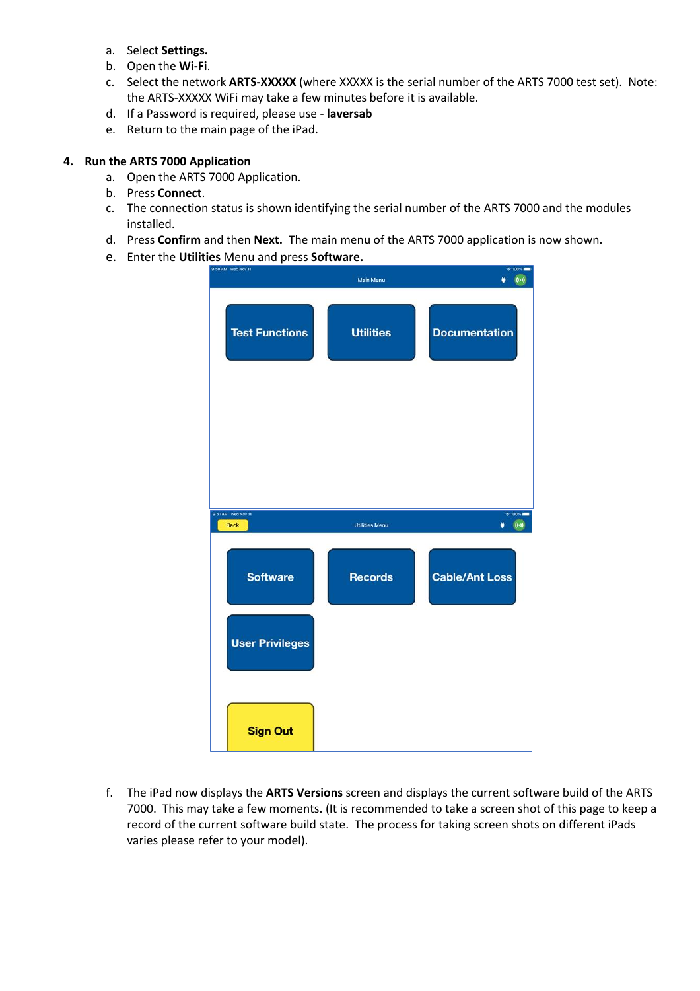- a. Select **Settings.**
- b. Open the **Wi-Fi**.
- c. Select the network **ARTS-XXXXX** (where XXXXX is the serial number of the ARTS 7000 test set). Note: the ARTS-XXXXX WiFi may take a few minutes before it is available.
- d. If a Password is required, please use **laversab**
- e. Return to the main page of the iPad.

#### **4. Run the ARTS 7000 Application**

- a. Open the ARTS 7000 Application.
- b. Press **Connect**.
- c. The connection status is shown identifying the serial number of the ARTS 7000 and the modules installed.
- d. Press **Confirm** and then **Next.** The main menu of the ARTS 7000 application is now shown.
- e. Enter the **Utilities** Menu and press **Software.**

| 9:50 AM Wed Nov 11                | Main Menu             | $* 100\%$<br>$(i-)$<br>۵                     |
|-----------------------------------|-----------------------|----------------------------------------------|
| <b>Test Functions</b>             | <b>Utilities</b>      | <b>Documentation</b>                         |
|                                   |                       |                                              |
| 9:51 AM Wed Nov 11<br><b>Back</b> | <b>Utilities Menu</b> | $* 100% =$<br>$(\left( \cdot \right) )$<br>۵ |
| <b>Software</b>                   | <b>Records</b>        | <b>Cable/Ant Loss</b>                        |
| <b>User Privileges</b>            |                       |                                              |

f. The iPad now displays the **ARTS Versions** screen and displays the current software build of the ARTS 7000. This may take a few moments. (It is recommended to take a screen shot of this page to keep a record of the current software build state. The process for taking screen shots on different iPads varies please refer to your model).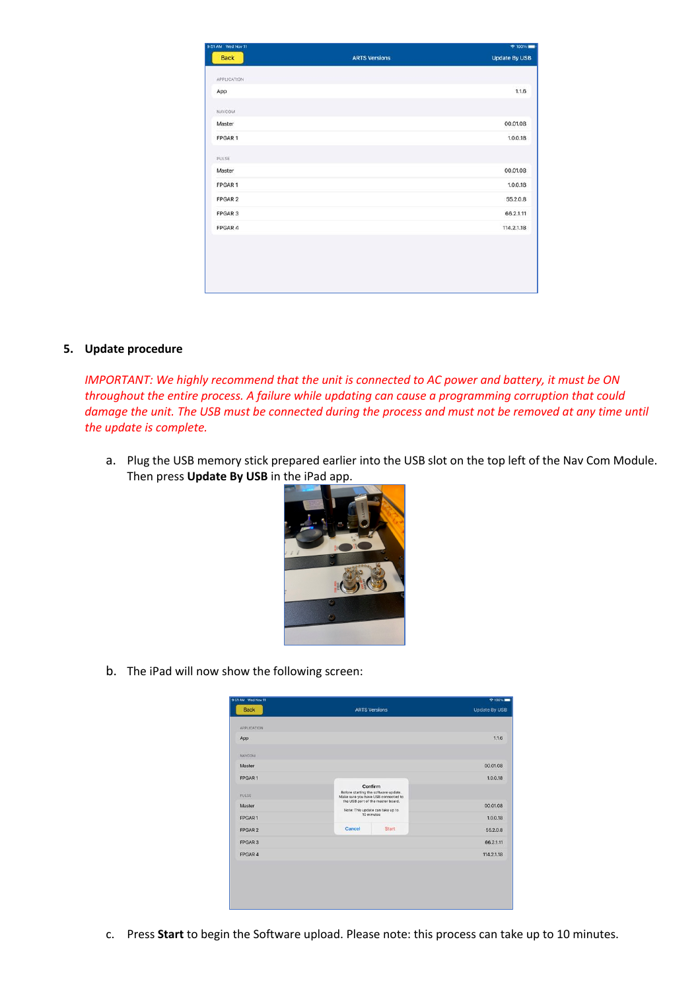| 9:51 AM Wed Nov 11 |                      | $*100%$              |
|--------------------|----------------------|----------------------|
| Back               | <b>ARTS Versions</b> | <b>Update By USB</b> |
| APPLICATION        |                      |                      |
| App                |                      | 1.1.6                |
| NAVCOM             |                      |                      |
| Master             |                      | 00.01.08             |
| FPGAR1             |                      | 1.0.0.18             |
| PULSE              |                      |                      |
| Master             |                      | 00.01.08             |
| FPGAR1             |                      | 1.0.0.18             |
| FPGAR 2            |                      | 55.2.0.8             |
| FPGAR 3            |                      | 66.2.1.11            |
| FPGAR 4            |                      | 114.2.1.18           |

#### **5. Update procedure**

*IMPORTANT: We highly recommend that the unit is connected to AC power and battery, it must be ON throughout the entire process. A failure while updating can cause a programming corruption that could damage the unit. The USB must be connected during the process and must not be removed at any time until the update is complete.*

a. Plug the USB memory stick prepared earlier into the USB slot on the top left of the Nav Com Module. Then press **Update By USB** in the iPad app.



b. The iPad will now show the following screen:

| <b>Update By USB</b> |
|----------------------|
|                      |
|                      |
| 1.1.6                |
|                      |
| 00.01.08             |
| 1.0.0.18             |
|                      |
| 00.01.08             |
| 1.0.0.18             |
| 55.2.0.8             |
| 66.2.1.11            |
| 114.2.1.18           |
|                      |
|                      |
|                      |
|                      |
|                      |

c. Press **Start** to begin the Software upload. Please note: this process can take up to 10 minutes.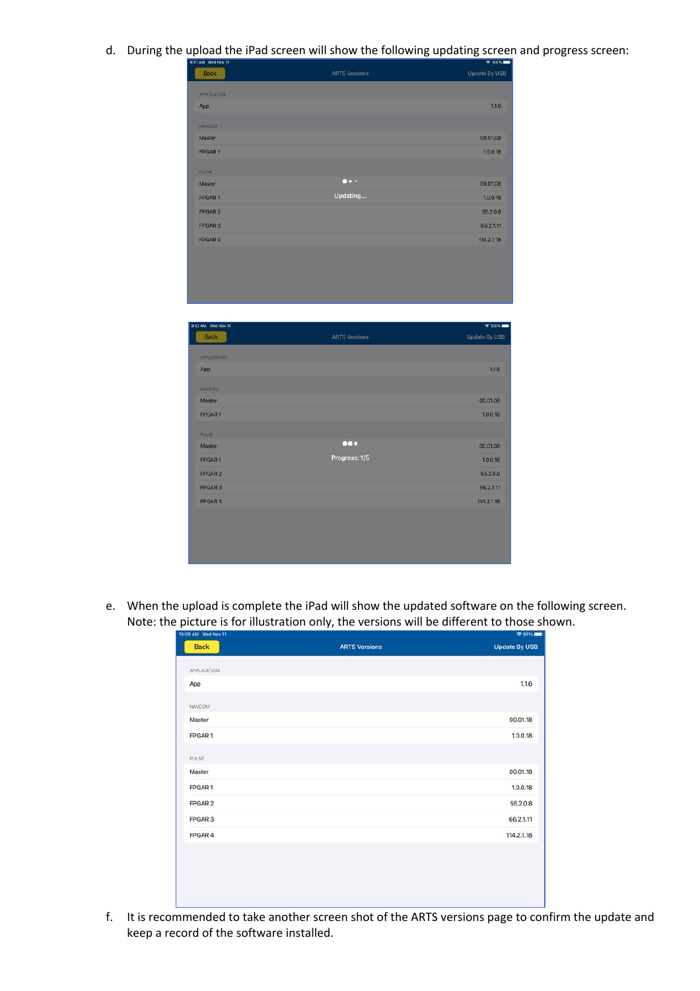d. During the upload the iPad screen will show the following updating screen and progress screen:

| 9:51 AM Wed Nov 11 |                           | $* 10051$     |
|--------------------|---------------------------|---------------|
| <b>Back</b>        | <b>ARTS Versions</b>      | Update By USB |
| <b>APPLICATION</b> |                           |               |
| App                |                           | 1.1.6         |
| NAVCOM             |                           |               |
| Master             |                           | 00.01.08      |
| FPGAR 1            |                           | 1.0.0.18      |
|                    |                           |               |
| <b>PULSE</b>       | $\bullet \bullet \bullet$ |               |
| Master             |                           | 00.01.08      |
| <b>FPGAR1</b>      | Updating                  | 1.0.0.18      |
| <b>FPGAR 2</b>     |                           | 55.2.0.8      |
| <b>FPGAR 3</b>     |                           | 66.2.1.11     |
| <b>FPGAR4</b>      |                           | 114.2.1.18    |
|                    |                           |               |
| 9:52 AM Wed Nov 11 |                           | 8 100%        |
| <b>Back</b>        | <b>ARTS Versions</b>      | Update By USB |
| <b>APPLICATION</b> |                           |               |
| App                |                           | 1.1.6         |
| NAVCOM             |                           |               |
| Master             |                           | 00.01.08      |
| <b>FPGAR1</b>      |                           | 1.0.0.18      |
| <b>PULSE</b>       |                           |               |
| Master             | $\bullet\bullet\bullet$   | 00.01.08      |
|                    | <b>Dreamer: 1/5</b>       |               |

FPGAR 2

FPGAR 3

FPGAR 4

e. When the upload is complete the iPad will show the updated software on the following screen. Note: the picture is for illustration only, the versions will be different to those shown.

55.2.0.8

66.2.1.11

114.2.1.18

| <b>Back</b>  | <b>ARTS Versions</b> | <b>Update By USB</b> |
|--------------|----------------------|----------------------|
|              |                      |                      |
| APPLICATION  |                      |                      |
| App          |                      | 1.1.6                |
| NAVCOM       |                      |                      |
| Master       |                      | 00.01.18             |
| FPGAR1       |                      | 1.0.0.18             |
| <b>PULSE</b> |                      |                      |
| Master       |                      | 00.01.18             |
| FPGAR 1      |                      | 1.0.0.18             |
| FPGAR 2      |                      | 55.2.0.8             |
| FPGAR 3      |                      | 66.2.1.11            |
| FPGAR 4      |                      | 114.2.1.18           |

f. It is recommended to take another screen shot of the ARTS versions page to confirm the update and keep a record of the software installed.